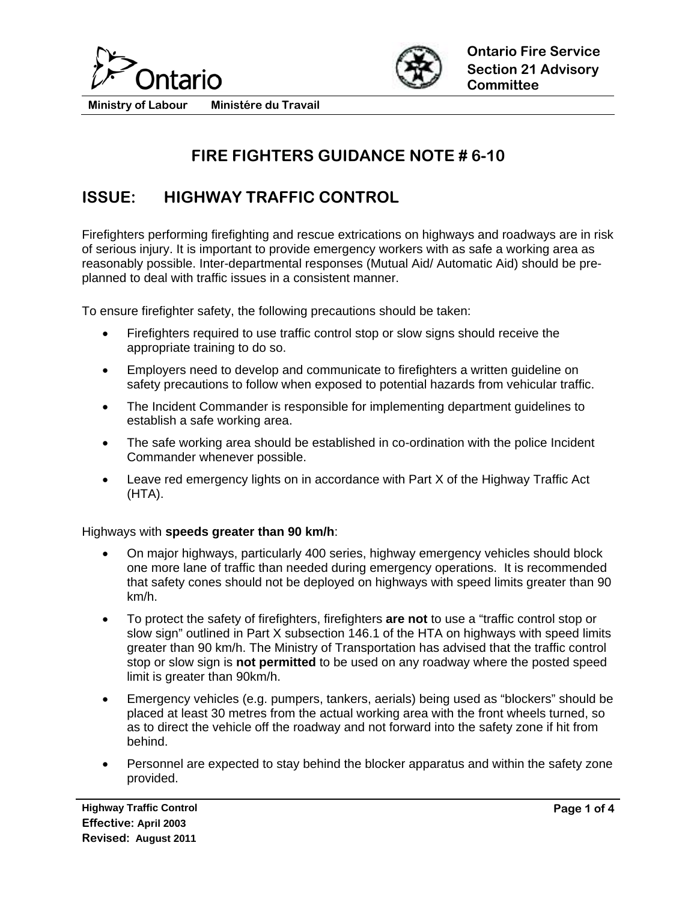



# **FIRE FIGHTERS GUIDANCE NOTE # 6-10**

## **ISSUE: HIGHWAY TRAFFIC CONTROL**

Firefighters performing firefighting and rescue extrications on highways and roadways are in risk of serious injury. It is important to provide emergency workers with as safe a working area as reasonably possible. Inter-departmental responses (Mutual Aid/ Automatic Aid) should be preplanned to deal with traffic issues in a consistent manner.

To ensure firefighter safety, the following precautions should be taken:

- Firefighters required to use traffic control stop or slow signs should receive the appropriate training to do so.
- Employers need to develop and communicate to firefighters a written guideline on safety precautions to follow when exposed to potential hazards from vehicular traffic.
- The Incident Commander is responsible for implementing department guidelines to establish a safe working area.
- The safe working area should be established in co-ordination with the police Incident Commander whenever possible.
- Leave red emergency lights on in accordance with Part X of the Highway Traffic Act (HTA).

#### Highways with **speeds greater than 90 km/h**:

- On major highways, particularly 400 series, highway emergency vehicles should block one more lane of traffic than needed during emergency operations. It is recommended that safety cones should not be deployed on highways with speed limits greater than 90 km/h.
- To protect the safety of firefighters, firefighters **are not** to use a "traffic control stop or slow sign" outlined in Part X subsection 146.1 of the HTA on highways with speed limits greater than 90 km/h. The Ministry of Transportation has advised that the traffic control stop or slow sign is **not permitted** to be used on any roadway where the posted speed limit is greater than 90km/h.
- Emergency vehicles (e.g. pumpers, tankers, aerials) being used as "blockers" should be placed at least 30 metres from the actual working area with the front wheels turned, so as to direct the vehicle off the roadway and not forward into the safety zone if hit from behind.
- Personnel are expected to stay behind the blocker apparatus and within the safety zone provided.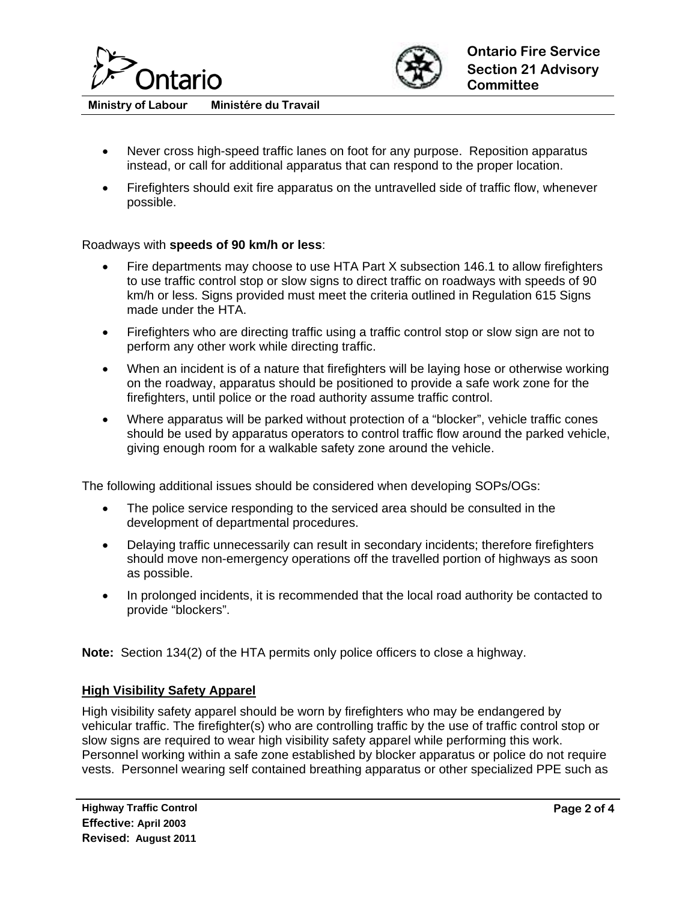



- Never cross high-speed traffic lanes on foot for any purpose. Reposition apparatus instead, or call for additional apparatus that can respond to the proper location.
- Firefighters should exit fire apparatus on the untravelled side of traffic flow, whenever possible.

#### Roadways with **speeds of 90 km/h or less**:

- Fire departments may choose to use HTA Part X subsection 146.1 to allow firefighters to use traffic control stop or slow signs to direct traffic on roadways with speeds of 90 km/h or less. Signs provided must meet the criteria outlined in Regulation 615 Signs made under the HTA.
- Firefighters who are directing traffic using a traffic control stop or slow sign are not to perform any other work while directing traffic.
- When an incident is of a nature that firefighters will be laying hose or otherwise working on the roadway, apparatus should be positioned to provide a safe work zone for the firefighters, until police or the road authority assume traffic control.
- Where apparatus will be parked without protection of a "blocker", vehicle traffic cones should be used by apparatus operators to control traffic flow around the parked vehicle, giving enough room for a walkable safety zone around the vehicle.

The following additional issues should be considered when developing SOPs/OGs:

- The police service responding to the serviced area should be consulted in the development of departmental procedures.
- Delaying traffic unnecessarily can result in secondary incidents; therefore firefighters should move non-emergency operations off the travelled portion of highways as soon as possible.
- In prolonged incidents, it is recommended that the local road authority be contacted to provide "blockers".

**Note:** Section 134(2) of the HTA permits only police officers to close a highway.

#### **High Visibility Safety Apparel**

High visibility safety apparel should be worn by firefighters who may be endangered by vehicular traffic. The firefighter(s) who are controlling traffic by the use of traffic control stop or slow signs are required to wear high visibility safety apparel while performing this work. Personnel working within a safe zone established by blocker apparatus or police do not require vests. Personnel wearing self contained breathing apparatus or other specialized PPE such as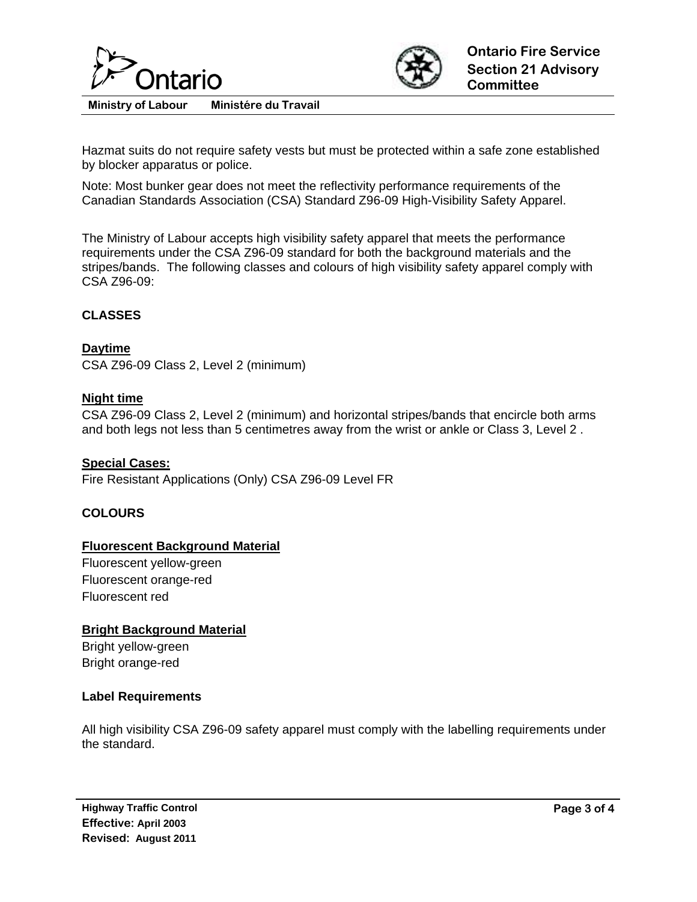



Hazmat suits do not require safety vests but must be protected within a safe zone established by blocker apparatus or police.

Note: Most bunker gear does not meet the reflectivity performance requirements of the Canadian Standards Association (CSA) Standard Z96-09 High-Visibility Safety Apparel.

The Ministry of Labour accepts high visibility safety apparel that meets the performance requirements under the CSA Z96-09 standard for both the background materials and the stripes/bands. The following classes and colours of high visibility safety apparel comply with CSA Z96-09:

#### **CLASSES**

#### **Daytime**

CSA Z96-09 Class 2, Level 2 (minimum)

#### **Night time**

CSA Z96-09 Class 2, Level 2 (minimum) and horizontal stripes/bands that encircle both arms and both legs not less than 5 centimetres away from the wrist or ankle or Class 3, Level 2 .

#### **Special Cases:**

Fire Resistant Applications (Only) CSA Z96-09 Level FR

#### **COLOURS**

#### **Fluorescent Background Material**

Fluorescent yellow-green Fluorescent orange-red Fluorescent red

#### **Bright Background Material**

Bright yellow-green Bright orange-red

#### **Label Requirements**

All high visibility CSA Z96-09 safety apparel must comply with the labelling requirements under the standard.